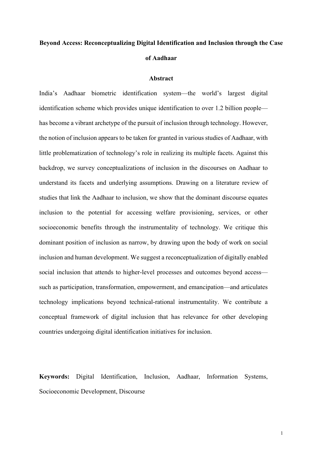# **Beyond Access: Reconceptualizing Digital Identification and Inclusion through the Case of Aadhaar**

#### **Abstract**

India's Aadhaar biometric identification system—the world's largest digital identification scheme which provides unique identification to over 1.2 billion people has become a vibrant archetype of the pursuit of inclusion through technology. However, the notion of inclusion appears to be taken for granted in various studies of Aadhaar, with little problematization of technology's role in realizing its multiple facets. Against this backdrop, we survey conceptualizations of inclusion in the discourses on Aadhaar to understand its facets and underlying assumptions. Drawing on a literature review of studies that link the Aadhaar to inclusion, we show that the dominant discourse equates inclusion to the potential for accessing welfare provisioning, services, or other socioeconomic benefits through the instrumentality of technology. We critique this dominant position of inclusion as narrow, by drawing upon the body of work on social inclusion and human development. We suggest a reconceptualization of digitally enabled social inclusion that attends to higher-level processes and outcomes beyond access such as participation, transformation, empowerment, and emancipation—and articulates technology implications beyond technical-rational instrumentality. We contribute a conceptual framework of digital inclusion that has relevance for other developing countries undergoing digital identification initiatives for inclusion.

**Keywords:** Digital Identification, Inclusion, Aadhaar, Information Systems, Socioeconomic Development, Discourse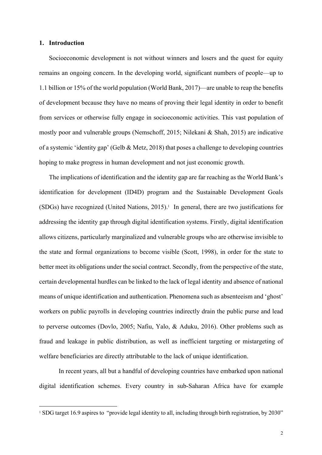## **1. Introduction**

Socioeconomic development is not without winners and losers and the quest for equity remains an ongoing concern. In the developing world, significant numbers of people—up to 1.1 billion or 15% of the world population (World Bank, 2017)—are unable to reap the benefits of development because they have no means of proving their legal identity in order to benefit from services or otherwise fully engage in socioeconomic activities. This vast population of mostly poor and vulnerable groups (Nemschoff, 2015; Nilekani & Shah, 2015) are indicative of a systemic 'identity gap' (Gelb & Metz, 2018) that poses a challenge to developing countries hoping to make progress in human development and not just economic growth.

The implications of identification and the identity gap are far reaching as the World Bank's identification for development (ID4D) program and the Sustainable Development Goals (SDGs) have recognized (United Nations, 2015). <sup>1</sup> In general, there are two justifications for addressing the identity gap through digital identification systems. Firstly, digital identification allows citizens, particularly marginalized and vulnerable groups who are otherwise invisible to the state and formal organizations to become visible (Scott, 1998), in order for the state to better meet its obligations under the social contract. Secondly, from the perspective of the state, certain developmental hurdles can be linked to the lack of legal identity and absence of national means of unique identification and authentication. Phenomena such as absenteeism and 'ghost' workers on public payrolls in developing countries indirectly drain the public purse and lead to perverse outcomes (Dovlo, 2005; Nafiu, Yalo, & Aduku, 2016). Other problems such as fraud and leakage in public distribution, as well as inefficient targeting or mistargeting of welfare beneficiaries are directly attributable to the lack of unique identification.

In recent years, all but a handful of developing countries have embarked upon national digital identification schemes. Every country in sub-Saharan Africa have for example

<sup>&</sup>lt;sup>1</sup> SDG target 16.9 aspires to "provide legal identity to all, including through birth registration, by 2030"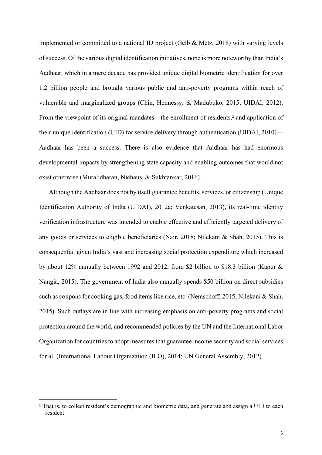implemented or committed to a national ID project (Gelb & Metz, 2018) with varying levels of success. Of the various digital identification initiatives, none is more noteworthy than India's Aadhaar, which in a mere decade has provided unique digital biometric identification for over 1.2 billion people and brought various public and anti-poverty programs within reach of vulnerable and marginalized groups (Chin, Hennessy, & Madubuko, 2015; UIDAI, 2012). From the viewpoint of its original mandates—the enrollment of residents,<sup>2</sup> and application of their unique identification (UID) for service delivery through authentication (UIDAI, 2010)— Aadhaar has been a success. There is also evidence that Aadhaar has had enormous developmental impacts by strengthening state capacity and enabling outcomes that would not exist otherwise (Muralidharan, Niehaus, & Sukhtankar, 2016).

Although the Aadhaar does not by itself guarantee benefits, services, or citizenship (Unique Identification Authority of India (UIDAI), 2012a; Venkatesan, 2013), its real-time identity verification infrastructure was intended to enable effective and efficiently targeted delivery of any goods or services to eligible beneficiaries (Nair, 2018; Nilekani & Shah, 2015). This is consequential given India's vast and increasing social protection expenditure which increased by about 12% annually between 1992 and 2012, from \$2 billion to \$18.3 billion (Kapur & Nangia, 2015). The government of India also annually spends \$50 billion on direct subsidies such as coupons for cooking gas, food items like rice, etc. (Nemschoff, 2015; Nilekani & Shah, 2015). Such outlays are in line with increasing emphasis on anti-poverty programs and social protection around the world, and recommended policies by the UN and the International Labor Organization for countries to adopt measures that guarantee income security and social services for all (International Labour Organization (ILO), 2014; UN General Assembly, 2012).

<sup>2</sup> That is, to collect resident's demographic and biometric data, and generate and assign a UID to each resident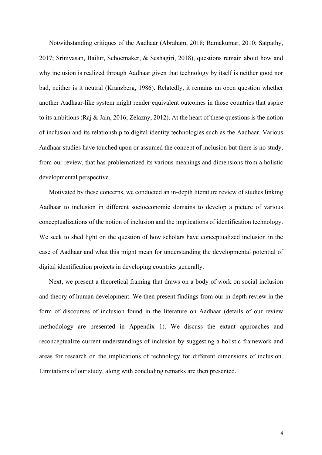Notwithstanding critiques of the Aadhaar (Abraham, 2018; Ramakumar, 2010; Satpathy, 2017; Srinivasan, Bailur, Schoemaker, & Seshagiri, 2018), questions remain about how and why inclusion is realized through Aadhaar given that technology by itself is neither good nor bad, neither is it neutral (Kranzberg, 1986). Relatedly, it remains an open question whether another Aadhaar-like system might render equivalent outcomes in those countries that aspire to its ambitions (Raj & Jain, 2016; Zelazny, 2012). At the heart of these questions is the notion of inclusion and its relationship to digital identity technologies such as the Aadhaar. Various Aadhaar studies have touched upon or assumed the concept of inclusion but there is no study, from our review, that has problematized its various meanings and dimensions from a holistic developmental perspective.

Motivated by these concerns, we conducted an in-depth literature review of studies linking Aadhaar to inclusion in different socioeconomic domains to develop a picture of various conceptualizations of the notion of inclusion and the implications of identification technology. We seek to shed light on the question of how scholars have conceptualized inclusion in the case of Aadhaar and what this might mean for understanding the developmental potential of digital identification projects in developing countries generally.

Next, we present a theoretical framing that draws on a body of work on social inclusion and theory of human development. We then present findings from our in-depth review in the form of discourses of inclusion found in the literature on Aadhaar (details of our review methodology are presented in Appendix 1). We discuss the extant approaches and reconceptualize current understandings of inclusion by suggesting a holistic framework and areas for research on the implications of technology for different dimensions of inclusion. Limitations of our study, along with concluding remarks are then presented.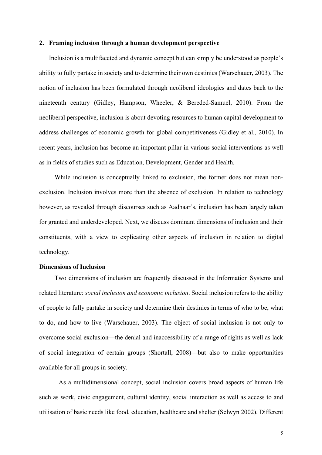#### **2. Framing inclusion through a human development perspective**

Inclusion is a multifaceted and dynamic concept but can simply be understood as people's ability to fully partake in society and to determine their own destinies (Warschauer, 2003). The notion of inclusion has been formulated through neoliberal ideologies and dates back to the nineteenth century (Gidley, Hampson, Wheeler, & Bereded-Samuel, 2010). From the neoliberal perspective, inclusion is about devoting resources to human capital development to address challenges of economic growth for global competitiveness (Gidley et al., 2010). In recent years, inclusion has become an important pillar in various social interventions as well as in fields of studies such as Education, Development, Gender and Health.

While inclusion is conceptually linked to exclusion, the former does not mean nonexclusion. Inclusion involves more than the absence of exclusion. In relation to technology however, as revealed through discourses such as Aadhaar's, inclusion has been largely taken for granted and underdeveloped. Next, we discuss dominant dimensions of inclusion and their constituents, with a view to explicating other aspects of inclusion in relation to digital technology.

#### **Dimensions of Inclusion**

Two dimensions of inclusion are frequently discussed in the Information Systems and related literature: *social inclusion and economic inclusion*. Social inclusion refers to the ability of people to fully partake in society and determine their destinies in terms of who to be, what to do, and how to live (Warschauer, 2003). The object of social inclusion is not only to overcome social exclusion—the denial and inaccessibility of a range of rights as well as lack of social integration of certain groups (Shortall, 2008)—but also to make opportunities available for all groups in society.

As a multidimensional concept, social inclusion covers broad aspects of human life such as work, civic engagement, cultural identity, social interaction as well as access to and utilisation of basic needs like food, education, healthcare and shelter (Selwyn 2002). Different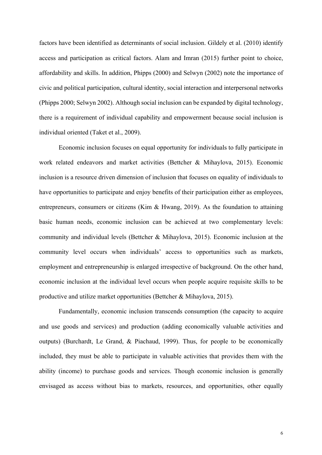factors have been identified as determinants of social inclusion. Gildely et al. (2010) identify access and participation as critical factors. Alam and Imran (2015) further point to choice, affordability and skills. In addition, Phipps (2000) and Selwyn (2002) note the importance of civic and political participation, cultural identity, social interaction and interpersonal networks (Phipps 2000; Selwyn 2002). Although social inclusion can be expanded by digital technology, there is a requirement of individual capability and empowerment because social inclusion is individual oriented (Taket et al., 2009).

Economic inclusion focuses on equal opportunity for individuals to fully participate in work related endeavors and market activities (Bettcher & Mihaylova, 2015). Economic inclusion is a resource driven dimension of inclusion that focuses on equality of individuals to have opportunities to participate and enjoy benefits of their participation either as employees, entrepreneurs, consumers or citizens (Kim & Hwang, 2019). As the foundation to attaining basic human needs, economic inclusion can be achieved at two complementary levels: community and individual levels (Bettcher & Mihaylova, 2015). Economic inclusion at the community level occurs when individuals' access to opportunities such as markets, employment and entrepreneurship is enlarged irrespective of background. On the other hand, economic inclusion at the individual level occurs when people acquire requisite skills to be productive and utilize market opportunities (Bettcher & Mihaylova, 2015).

Fundamentally, economic inclusion transcends consumption (the capacity to acquire and use goods and services) and production (adding economically valuable activities and outputs) (Burchardt, Le Grand, & Piachaud, 1999). Thus, for people to be economically included, they must be able to participate in valuable activities that provides them with the ability (income) to purchase goods and services. Though economic inclusion is generally envisaged as access without bias to markets, resources, and opportunities, other equally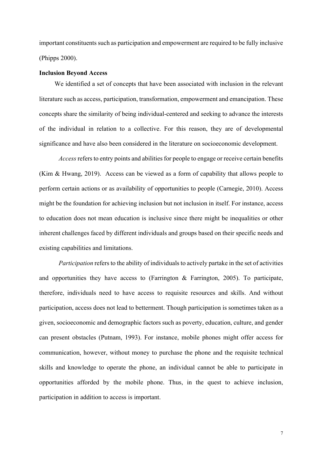important constituents such as participation and empowerment are required to be fully inclusive (Phipps 2000).

#### **Inclusion Beyond Access**

We identified a set of concepts that have been associated with inclusion in the relevant literature such as access, participation, transformation, empowerment and emancipation. These concepts share the similarity of being individual-centered and seeking to advance the interests of the individual in relation to a collective. For this reason, they are of developmental significance and have also been considered in the literature on socioeconomic development.

*Access*refers to entry points and abilities for people to engage or receive certain benefits (Kim & Hwang, 2019). Access can be viewed as a form of capability that allows people to perform certain actions or as availability of opportunities to people (Carnegie, 2010). Access might be the foundation for achieving inclusion but not inclusion in itself. For instance, access to education does not mean education is inclusive since there might be inequalities or other inherent challenges faced by different individuals and groups based on their specific needs and existing capabilities and limitations.

*Participation* refers to the ability of individuals to actively partake in the set of activities and opportunities they have access to (Farrington & Farrington, 2005). To participate, therefore, individuals need to have access to requisite resources and skills. And without participation, access does not lead to betterment. Though participation is sometimes taken as a given, socioeconomic and demographic factors such as poverty, education, culture, and gender can present obstacles (Putnam, 1993). For instance, mobile phones might offer access for communication, however, without money to purchase the phone and the requisite technical skills and knowledge to operate the phone, an individual cannot be able to participate in opportunities afforded by the mobile phone. Thus, in the quest to achieve inclusion, participation in addition to access is important.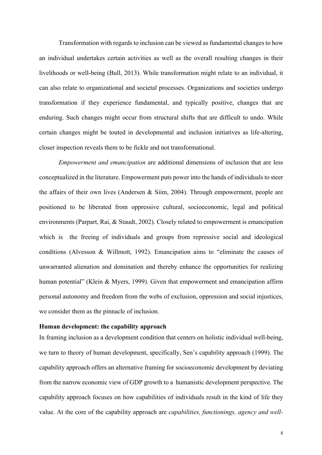Transformation with regards to inclusion can be viewed as fundamental changes to how an individual undertakes certain activities as well as the overall resulting changes in their livelihoods or well-being (Bull, 2013). While transformation might relate to an individual, it can also relate to organizational and societal processes. Organizations and societies undergo transformation if they experience fundamental, and typically positive, changes that are enduring. Such changes might occur from structural shifts that are difficult to undo. While certain changes might be touted in developmental and inclusion initiatives as life-altering, closer inspection reveals them to be fickle and not transformational.

*Empowerment and emancipation* are additional dimensions of inclusion that are less conceptualized in the literature. Empowerment puts power into the hands of individuals to steer the affairs of their own lives (Andersen & Siim, 2004). Through empowerment, people are positioned to be liberated from oppressive cultural, socioeconomic, legal and political environments (Parpart, Rai, & Staudt, 2002). Closely related to empowerment is emancipation which is the freeing of individuals and groups from repressive social and ideological conditions (Alvesson & Willmott, 1992). Emancipation aims to "eliminate the causes of unwarranted alienation and domination and thereby enhance the opportunities for realizing human potential" (Klein & Myers, 1999). Given that empowerment and emancipation affirm personal autonomy and freedom from the webs of exclusion, oppression and social injustices, we consider them as the pinnacle of inclusion.

## **Human development: the capability approach**

In framing inclusion as a development condition that centers on holistic individual well-being, we turn to theory of human development, specifically, Sen's capability approach (1999). The capability approach offers an alternative framing for socioeconomic development by deviating from the narrow economic view of GDP growth to a humanistic development perspective. The capability approach focuses on how capabilities of individuals result in the kind of life they value. At the core of the capability approach are *capabilities, functionings, agency and well-*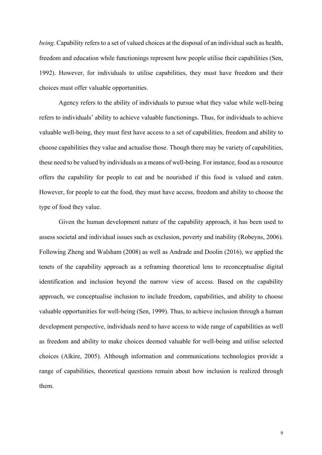*being*. Capability refers to a set of valued choices at the disposal of an individual such as health, freedom and education while functionings represent how people utilise their capabilities (Sen, 1992). However, for individuals to utilise capabilities, they must have freedom and their choices must offer valuable opportunities.

Agency refers to the ability of individuals to pursue what they value while well-being refers to individuals' ability to achieve valuable functionings. Thus, for individuals to achieve valuable well-being, they must first have access to a set of capabilities, freedom and ability to choose capabilities they value and actualise those. Though there may be variety of capabilities, these need to be valued by individuals as a means of well-being. For instance, food as a resource offers the capability for people to eat and be nourished if this food is valued and eaten. However, for people to eat the food, they must have access, freedom and ability to choose the type of food they value.

Given the human development nature of the capability approach, it has been used to assess societal and individual issues such as exclusion, poverty and inability (Robeyns, 2006). Following Zheng and Walsham (2008) as well as Andrade and Doolin (2016), we applied the tenets of the capability approach as a reframing theoretical lens to reconceptualise digital identification and inclusion beyond the narrow view of access. Based on the capability approach, we conceptualise inclusion to include freedom, capabilities, and ability to choose valuable opportunities for well-being (Sen, 1999). Thus, to achieve inclusion through a human development perspective, individuals need to have access to wide range of capabilities as well as freedom and ability to make choices deemed valuable for well-being and utilise selected choices (Alkire, 2005). Although information and communications technologies provide a range of capabilities, theoretical questions remain about how inclusion is realized through them.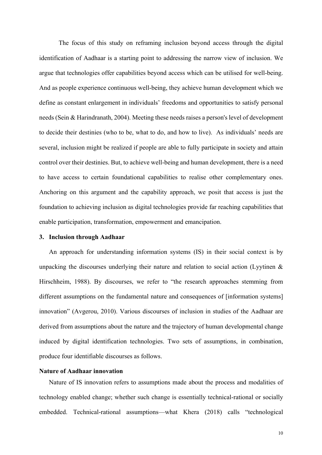The focus of this study on reframing inclusion beyond access through the digital identification of Aadhaar is a starting point to addressing the narrow view of inclusion. We argue that technologies offer capabilities beyond access which can be utilised for well-being. And as people experience continuous well-being, they achieve human development which we define as constant enlargement in individuals' freedoms and opportunities to satisfy personal needs (Sein & Harindranath, 2004). Meeting these needs raises a person's level of development to decide their destinies (who to be, what to do, and how to live). As individuals' needs are several, inclusion might be realized if people are able to fully participate in society and attain control over their destinies. But, to achieve well-being and human development, there is a need to have access to certain foundational capabilities to realise other complementary ones. Anchoring on this argument and the capability approach, we posit that access is just the foundation to achieving inclusion as digital technologies provide far reaching capabilities that enable participation, transformation, empowerment and emancipation.

## **3. Inclusion through Aadhaar**

An approach for understanding information systems (IS) in their social context is by unpacking the discourses underlying their nature and relation to social action (Lyytinen  $\&$ Hirschheim, 1988). By discourses, we refer to "the research approaches stemming from different assumptions on the fundamental nature and consequences of [information systems] innovation" (Avgerou, 2010). Various discourses of inclusion in studies of the Aadhaar are derived from assumptions about the nature and the trajectory of human developmental change induced by digital identification technologies. Two sets of assumptions, in combination, produce four identifiable discourses as follows.

## **Nature of Aadhaar innovation**

Nature of IS innovation refers to assumptions made about the process and modalities of technology enabled change; whether such change is essentially technical-rational or socially embedded. Technical-rational assumptions—what Khera (2018) calls "technological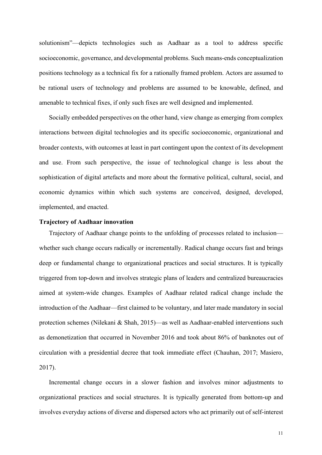solutionism"—depicts technologies such as Aadhaar as a tool to address specific socioeconomic, governance, and developmental problems. Such means-ends conceptualization positions technology as a technical fix for a rationally framed problem. Actors are assumed to be rational users of technology and problems are assumed to be knowable, defined, and amenable to technical fixes, if only such fixes are well designed and implemented.

Socially embedded perspectives on the other hand, view change as emerging from complex interactions between digital technologies and its specific socioeconomic, organizational and broader contexts, with outcomes at least in part contingent upon the context of its development and use. From such perspective, the issue of technological change is less about the sophistication of digital artefacts and more about the formative political, cultural, social, and economic dynamics within which such systems are conceived, designed, developed, implemented, and enacted.

## **Trajectory of Aadhaar innovation**

Trajectory of Aadhaar change points to the unfolding of processes related to inclusion whether such change occurs radically or incrementally. Radical change occurs fast and brings deep or fundamental change to organizational practices and social structures. It is typically triggered from top-down and involves strategic plans of leaders and centralized bureaucracies aimed at system-wide changes. Examples of Aadhaar related radical change include the introduction of the Aadhaar—first claimed to be voluntary, and later made mandatory in social protection schemes (Nilekani & Shah, 2015)—as well as Aadhaar-enabled interventions such as demonetization that occurred in November 2016 and took about 86% of banknotes out of circulation with a presidential decree that took immediate effect (Chauhan, 2017; Masiero, 2017).

Incremental change occurs in a slower fashion and involves minor adjustments to organizational practices and social structures. It is typically generated from bottom-up and involves everyday actions of diverse and dispersed actors who act primarily out of self-interest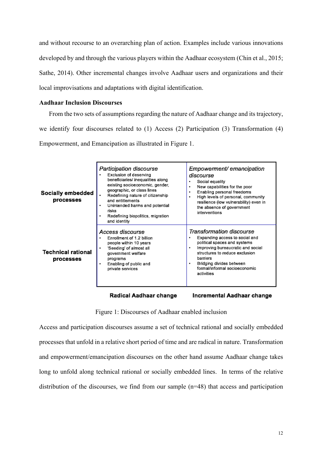and without recourse to an overarching plan of action. Examples include various innovations developed by and through the various players within the Aadhaar ecosystem (Chin et al., 2015; Sathe, 2014). Other incremental changes involve Aadhaar users and organizations and their local improvisations and adaptations with digital identification.

## **Aadhaar Inclusion Discourses**

From the two sets of assumptions regarding the nature of Aadhaar change and its trajectory, we identify four discourses related to (1) Access (2) Participation (3) Transformation (4) Empowerment, and Emancipation as illustrated in Figure 1.

| Socially embedded<br>processes         | Participation discourse<br>Exclusion of deserving<br>beneficiaries/ inequalities along<br>existing socioeconomic, gender,<br>geographic, or class lines<br>Redefining nature of citizenship<br>and entitlements<br>Unintended harms and potential<br>risks<br>Redefining biopolitics, migration<br>and identity | Empowerment/emancipation<br>discourse<br>Social equality<br>New capabilities for the poor<br>۰<br>Enabling personal freedoms<br>۰<br>High levels of personal, community<br>۰<br>resilience (low vulnerability) even in<br>the absence of government<br>interventions |  |
|----------------------------------------|-----------------------------------------------------------------------------------------------------------------------------------------------------------------------------------------------------------------------------------------------------------------------------------------------------------------|----------------------------------------------------------------------------------------------------------------------------------------------------------------------------------------------------------------------------------------------------------------------|--|
| <b>Technical rational</b><br>processes | Access discourse<br>Enrollment of 1.2 billion<br>people within 10 years<br>'Seeding' of almost all<br>government welfare<br>programs<br>Enabling of public and<br>private services                                                                                                                              | Transformation discourse<br>Expanding access to social and<br>political spaces and systems<br>Improving bureaucratic and social<br>۰<br>structures to reduce exclusion<br>barriers<br>Bridging divides between<br>٠<br>formal/informal socioeconomic<br>activities   |  |

Radical Aadhaar change

Incremental Aadhaar change

Figure 1: Discourses of Aadhaar enabled inclusion

Access and participation discourses assume a set of technical rational and socially embedded processes that unfold in a relative short period of time and are radical in nature. Transformation and empowerment/emancipation discourses on the other hand assume Aadhaar change takes long to unfold along technical rational or socially embedded lines. In terms of the relative distribution of the discourses, we find from our sample (n=48) that access and participation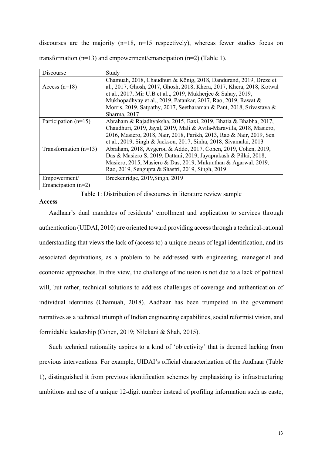discourses are the majority (n=18, n=15 respectively), whereas fewer studies focus on transformation ( $n=13$ ) and empowerment/emancipation ( $n=2$ ) (Table 1).

| Discourse               | Study                                                                 |  |
|-------------------------|-----------------------------------------------------------------------|--|
|                         | Chamuah, 2018, Chaudhuri & König, 2018, Dandurand, 2019, Drèze et     |  |
| Access $(n=18)$         | al., 2017, Ghosh, 2017, Ghosh, 2018, Khera, 2017, Khera, 2018, Kotwal |  |
|                         | et al., 2017, Mir U.B et al.,, 2019, Mukherjee & Sahay, 2019,         |  |
|                         | Mukhopadhyay et al., 2019, Patankar, 2017, Rao, 2019, Rawat &         |  |
|                         | Morris, 2019, Satpathy, 2017, Seetharaman & Pant, 2018, Srivastava &  |  |
|                         | Sharma, 2017                                                          |  |
| Participation $(n=15)$  | Abraham & Rajadhyaksha, 2015, Baxi, 2019, Bhatia & Bhabha, 2017,      |  |
|                         | Chaudhuri, 2019, Jayal, 2019, Mali & Avila-Maravilla, 2018, Masiero,  |  |
|                         | 2016, Masiero, 2018, Nair, 2018, Parikh, 2013, Rao & Nair, 2019, Sen  |  |
|                         | et al., 2019, Singh & Jackson, 2017, Sinha, 2018, Sivamalai, 2013     |  |
| Transformation $(n=13)$ | Abraham, 2018, Avgerou & Addo, 2017, Cohen, 2019, Cohen, 2019,        |  |
|                         | Das & Masiero S, 2019, Dattani, 2019, Jayaprakash & Pillai, 2018,     |  |
|                         | Masiero, 2015, Masiero & Das, 2019, Mukunthan & Agarwal, 2019,        |  |
|                         | Rao, 2019, Sengupta & Shastri, 2019, Singh, 2019                      |  |
| Empowerment/            | Breckenridge, 2019, Singh, 2019                                       |  |
| Emancipation $(n=2)$    |                                                                       |  |
|                         |                                                                       |  |

Table 1: Distribution of discourses in literature review sample

#### **Access**

Aadhaar's dual mandates of residents' enrollment and application to services through authentication (UIDAI, 2010) are oriented toward providing access through a technical-rational understanding that views the lack of (access to) a unique means of legal identification, and its associated deprivations, as a problem to be addressed with engineering, managerial and economic approaches. In this view, the challenge of inclusion is not due to a lack of political will, but rather, technical solutions to address challenges of coverage and authentication of individual identities (Chamuah, 2018). Aadhaar has been trumpeted in the government narratives as a technical triumph of Indian engineering capabilities, social reformist vision, and formidable leadership (Cohen, 2019; Nilekani & Shah, 2015).

Such technical rationality aspires to a kind of 'objectivity' that is deemed lacking from previous interventions. For example, UIDAI's official characterization of the Aadhaar (Table 1), distinguished it from previous identification schemes by emphasizing its infrastructuring ambitions and use of a unique 12-digit number instead of profiling information such as caste,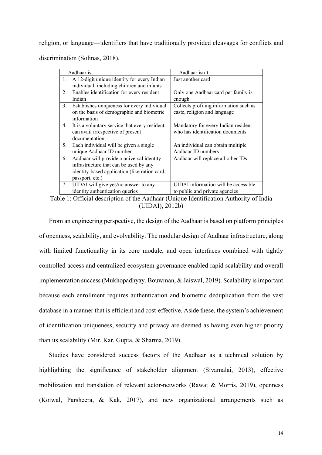religion, or language—identifiers that have traditionally provided cleavages for conflicts and discrimination (Solinas, 2018).

|    | Aadhaar is                                    | Aadhaar isn't                          |  |
|----|-----------------------------------------------|----------------------------------------|--|
| 1. | A 12-digit unique identity for every Indian   | Just another card                      |  |
|    | individual, including children and infants    |                                        |  |
| 2. | Enables identification for every resident     | Only one Aadhaar card per family is    |  |
|    | Indian                                        | enough                                 |  |
| 3. | Establishes uniqueness for every individual   | Collects profiling information such as |  |
|    | on the basis of demographic and biometric     | caste, religion and language           |  |
|    | information                                   |                                        |  |
| 4. | It is a voluntary service that every resident | Mandatory for every Indian resident    |  |
|    | can avail irrespective of present             | who has identification documents       |  |
|    | documentation                                 |                                        |  |
| 5. | Each individual will be given a single        | An individual can obtain multiple      |  |
|    | unique Aadhaar ID number                      | Aadhaar ID numbers                     |  |
| 6. | Aadhaar will provide a universal identity     | Aadhaar will replace all other IDs     |  |
|    | infrastructure that can be used by any        |                                        |  |
|    | identity-based application (like ration card, |                                        |  |
|    | passport, etc.)                               |                                        |  |
| 7. | UIDAI will give yes/no answer to any          | UIDAI information will be accessible   |  |
|    | identity authentication queries               | to public and private agencies         |  |

Table 1: Official description of the Aadhaar (Unique Identification Authority of India (UIDAI), 2012b)

From an engineering perspective, the design of the Aadhaar is based on platform principles of openness, scalability, and evolvability. The modular design of Aadhaar infrastructure, along with limited functionality in its core module, and open interfaces combined with tightly controlled access and centralized ecosystem governance enabled rapid scalability and overall implementation success(Mukhopadhyay, Bouwman, & Jaiswal, 2019). Scalability is important because each enrollment requires authentication and biometric deduplication from the vast database in a manner that is efficient and cost-effective. Aside these, the system's achievement of identification uniqueness, security and privacy are deemed as having even higher priority than its scalability (Mir, Kar, Gupta, & Sharma, 2019).

Studies have considered success factors of the Aadhaar as a technical solution by highlighting the significance of stakeholder alignment (Sivamalai, 2013), effective mobilization and translation of relevant actor-networks (Rawat & Morris, 2019), openness (Kotwal, Parsheera, & Kak, 2017), and new organizational arrangements such as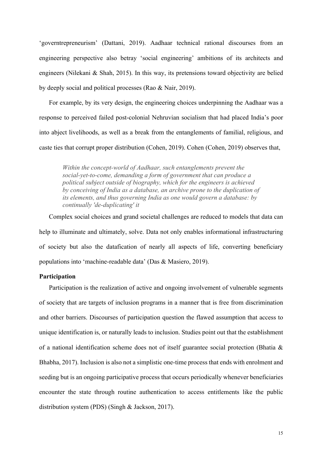'governtrepreneurism' (Dattani, 2019). Aadhaar technical rational discourses from an engineering perspective also betray 'social engineering' ambitions of its architects and engineers (Nilekani & Shah, 2015). In this way, its pretensions toward objectivity are belied by deeply social and political processes (Rao & Nair, 2019).

For example, by its very design, the engineering choices underpinning the Aadhaar was a response to perceived failed post-colonial Nehruvian socialism that had placed India's poor into abject livelihoods, as well as a break from the entanglements of familial, religious, and caste ties that corrupt proper distribution (Cohen, 2019). Cohen (Cohen, 2019) observes that,

*Within the concept-world of Aadhaar, such entanglements prevent the social-yet-to-come, demanding a form of government that can produce a political subject outside of biography, which for the engineers is achieved by conceiving of India as a database, an archive prone to the duplication of its elements, and thus governing India as one would govern a database: by continually 'de-duplicating' it*

Complex social choices and grand societal challenges are reduced to models that data can help to illuminate and ultimately, solve. Data not only enables informational infrastructuring of society but also the datafication of nearly all aspects of life, converting beneficiary populations into 'machine-readable data' (Das & Masiero, 2019).

## **Participation**

Participation is the realization of active and ongoing involvement of vulnerable segments of society that are targets of inclusion programs in a manner that is free from discrimination and other barriers. Discourses of participation question the flawed assumption that access to unique identification is, or naturally leads to inclusion. Studies point out that the establishment of a national identification scheme does not of itself guarantee social protection (Bhatia & Bhabha, 2017). Inclusion is also not a simplistic one-time process that ends with enrolment and seeding but is an ongoing participative process that occurs periodically whenever beneficiaries encounter the state through routine authentication to access entitlements like the public distribution system (PDS) (Singh & Jackson, 2017).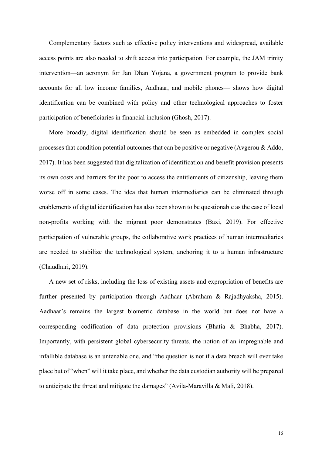Complementary factors such as effective policy interventions and widespread, available access points are also needed to shift access into participation. For example, the JAM trinity intervention—an acronym for Jan Dhan Yojana, a government program to provide bank accounts for all low income families, Aadhaar, and mobile phones— shows how digital identification can be combined with policy and other technological approaches to foster participation of beneficiaries in financial inclusion (Ghosh, 2017).

More broadly, digital identification should be seen as embedded in complex social processes that condition potential outcomes that can be positive or negative (Avgerou & Addo, 2017). It has been suggested that digitalization of identification and benefit provision presents its own costs and barriers for the poor to access the entitlements of citizenship, leaving them worse off in some cases. The idea that human intermediaries can be eliminated through enablements of digital identification has also been shown to be questionable as the case of local non-profits working with the migrant poor demonstrates (Baxi, 2019). For effective participation of vulnerable groups, the collaborative work practices of human intermediaries are needed to stabilize the technological system, anchoring it to a human infrastructure (Chaudhuri, 2019).

A new set of risks, including the loss of existing assets and expropriation of benefits are further presented by participation through Aadhaar (Abraham & Rajadhyaksha, 2015). Aadhaar's remains the largest biometric database in the world but does not have a corresponding codification of data protection provisions (Bhatia & Bhabha, 2017). Importantly, with persistent global cybersecurity threats, the notion of an impregnable and infallible database is an untenable one, and "the question is not if a data breach will ever take place but of "when" will it take place, and whether the data custodian authority will be prepared to anticipate the threat and mitigate the damages" (Avila-Maravilla & Mali, 2018).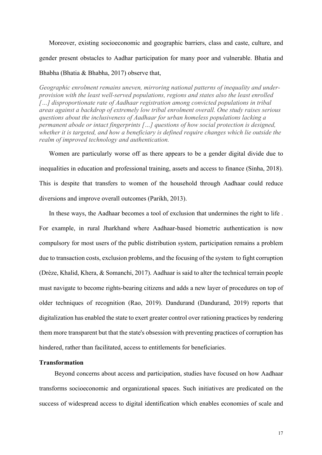Moreover, existing socioeconomic and geographic barriers, class and caste, culture, and gender present obstacles to Aadhar participation for many poor and vulnerable. Bhatia and

## Bhabha (Bhatia & Bhabha, 2017) observe that,

*Geographic enrolment remains uneven, mirroring national patterns of inequality and underprovision with the least well-served populations, regions and states also the least enrolled […] disproportionate rate of Aadhaar registration among convicted populations in tribal areas against a backdrop of extremely low tribal enrolment overall. One study raises serious questions about the inclusiveness of Aadhaar for urban homeless populations lacking a permanent abode or intact fingerprints […] questions of how social protection is designed, whether it is targeted, and how a beneficiary is defined require changes which lie outside the realm of improved technology and authentication.* 

Women are particularly worse off as there appears to be a gender digital divide due to inequalities in education and professional training, assets and access to finance (Sinha, 2018). This is despite that transfers to women of the household through Aadhaar could reduce diversions and improve overall outcomes (Parikh, 2013).

In these ways, the Aadhaar becomes a tool of exclusion that undermines the right to life . For example, in rural Jharkhand where Aadhaar-based biometric authentication is now compulsory for most users of the public distribution system, participation remains a problem due to transaction costs, exclusion problems, and the focusing of the system to fight corruption (Drèze, Khalid, Khera, & Somanchi, 2017). Aadhaar is said to alter the technical terrain people must navigate to become rights-bearing citizens and adds a new layer of procedures on top of older techniques of recognition (Rao, 2019). Dandurand (Dandurand, 2019) reports that digitalization has enabled the state to exert greater control over rationing practices by rendering them more transparent but that the state's obsession with preventing practices of corruption has hindered, rather than facilitated, access to entitlements for beneficiaries.

## **Transformation**

Beyond concerns about access and participation, studies have focused on how Aadhaar transforms socioeconomic and organizational spaces. Such initiatives are predicated on the success of widespread access to digital identification which enables economies of scale and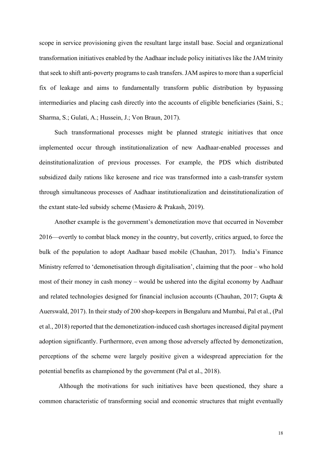scope in service provisioning given the resultant large install base. Social and organizational transformation initiatives enabled by the Aadhaar include policy initiatives like the JAM trinity that seek to shift anti-poverty programs to cash transfers. JAM aspires to more than a superficial fix of leakage and aims to fundamentally transform public distribution by bypassing intermediaries and placing cash directly into the accounts of eligible beneficiaries (Saini, S.; Sharma, S.; Gulati, A.; Hussein, J.; Von Braun, 2017).

Such transformational processes might be planned strategic initiatives that once implemented occur through institutionalization of new Aadhaar-enabled processes and deinstitutionalization of previous processes. For example, the PDS which distributed subsidized daily rations like kerosene and rice was transformed into a cash-transfer system through simultaneous processes of Aadhaar institutionalization and deinstitutionalization of the extant state-led subsidy scheme (Masiero & Prakash, 2019).

Another example is the government's demonetization move that occurred in November 2016—overtly to combat black money in the country, but covertly, critics argued, to force the bulk of the population to adopt Aadhaar based mobile (Chauhan, 2017). India's Finance Ministry referred to 'demonetisation through digitalisation', claiming that the poor – who hold most of their money in cash money – would be ushered into the digital economy by Aadhaar and related technologies designed for financial inclusion accounts (Chauhan, 2017; Gupta & Auerswald, 2017). In their study of 200 shop-keepers in Bengaluru and Mumbai, Pal et al., (Pal et al., 2018) reported that the demonetization-induced cash shortages increased digital payment adoption significantly. Furthermore, even among those adversely affected by demonetization, perceptions of the scheme were largely positive given a widespread appreciation for the potential benefits as championed by the government (Pal et al., 2018).

Although the motivations for such initiatives have been questioned, they share a common characteristic of transforming social and economic structures that might eventually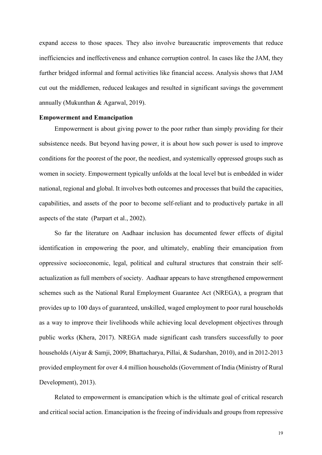expand access to those spaces. They also involve bureaucratic improvements that reduce inefficiencies and ineffectiveness and enhance corruption control. In cases like the JAM, they further bridged informal and formal activities like financial access. Analysis shows that JAM cut out the middlemen, reduced leakages and resulted in significant savings the government annually (Mukunthan & Agarwal, 2019).

#### **Empowerment and Emancipation**

Empowerment is about giving power to the poor rather than simply providing for their subsistence needs. But beyond having power, it is about how such power is used to improve conditions for the poorest of the poor, the neediest, and systemically oppressed groups such as women in society. Empowerment typically unfolds at the local level but is embedded in wider national, regional and global. It involves both outcomes and processes that build the capacities, capabilities, and assets of the poor to become self-reliant and to productively partake in all aspects of the state (Parpart et al., 2002).

So far the literature on Aadhaar inclusion has documented fewer effects of digital identification in empowering the poor, and ultimately, enabling their emancipation from oppressive socioeconomic, legal, political and cultural structures that constrain their selfactualization as full members of society. Aadhaar appears to have strengthened empowerment schemes such as the National Rural Employment Guarantee Act (NREGA), a program that provides up to 100 days of guaranteed, unskilled, waged employment to poor rural households as a way to improve their livelihoods while achieving local development objectives through public works (Khera, 2017). NREGA made significant cash transfers successfully to poor households (Aiyar & Samji, 2009; Bhattacharya, Pillai, & Sudarshan, 2010), and in 2012-2013 provided employment for over 4.4 million households (Government of India (Ministry of Rural Development), 2013).

Related to empowerment is emancipation which is the ultimate goal of critical research and critical social action. Emancipation is the freeing of individuals and groups from repressive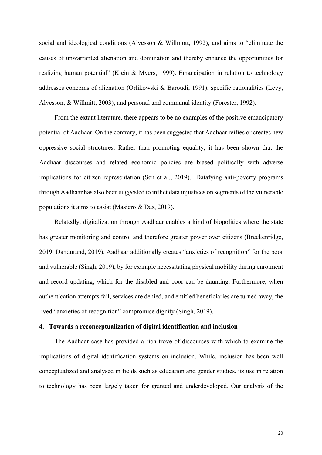social and ideological conditions (Alvesson & Willmott, 1992), and aims to "eliminate the causes of unwarranted alienation and domination and thereby enhance the opportunities for realizing human potential" (Klein & Myers, 1999). Emancipation in relation to technology addresses concerns of alienation (Orlikowski & Baroudi, 1991), specific rationalities (Levy, Alvesson, & Willmitt, 2003), and personal and communal identity (Forester, 1992).

From the extant literature, there appears to be no examples of the positive emancipatory potential of Aadhaar. On the contrary, it has been suggested that Aadhaar reifies or creates new oppressive social structures. Rather than promoting equality, it has been shown that the Aadhaar discourses and related economic policies are biased politically with adverse implications for citizen representation (Sen et al., 2019). Datafying anti-poverty programs through Aadhaar has also been suggested to inflict data injustices on segments of the vulnerable populations it aims to assist (Masiero & Das, 2019).

Relatedly, digitalization through Aadhaar enables a kind of biopolitics where the state has greater monitoring and control and therefore greater power over citizens (Breckenridge, 2019; Dandurand, 2019). Aadhaar additionally creates "anxieties of recognition" for the poor and vulnerable (Singh, 2019), by for example necessitating physical mobility during enrolment and record updating, which for the disabled and poor can be daunting. Furthermore, when authentication attempts fail, services are denied, and entitled beneficiaries are turned away, the lived "anxieties of recognition" compromise dignity (Singh, 2019).

## **4. Towards a reconceptualization of digital identification and inclusion**

The Aadhaar case has provided a rich trove of discourses with which to examine the implications of digital identification systems on inclusion. While, inclusion has been well conceptualized and analysed in fields such as education and gender studies, its use in relation to technology has been largely taken for granted and underdeveloped. Our analysis of the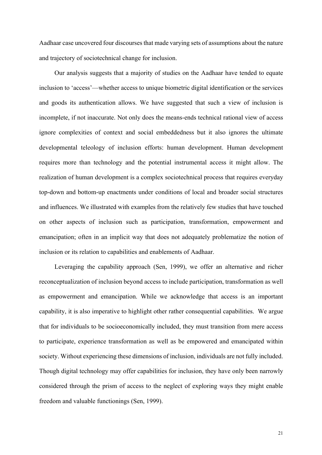Aadhaar case uncovered four discourses that made varying sets of assumptions about the nature and trajectory of sociotechnical change for inclusion.

Our analysis suggests that a majority of studies on the Aadhaar have tended to equate inclusion to 'access'—whether access to unique biometric digital identification or the services and goods its authentication allows. We have suggested that such a view of inclusion is incomplete, if not inaccurate. Not only does the means-ends technical rational view of access ignore complexities of context and social embeddedness but it also ignores the ultimate developmental teleology of inclusion efforts: human development. Human development requires more than technology and the potential instrumental access it might allow. The realization of human development is a complex sociotechnical process that requires everyday top-down and bottom-up enactments under conditions of local and broader social structures and influences. We illustrated with examples from the relatively few studies that have touched on other aspects of inclusion such as participation, transformation, empowerment and emancipation; often in an implicit way that does not adequately problematize the notion of inclusion or its relation to capabilities and enablements of Aadhaar.

Leveraging the capability approach (Sen, 1999), we offer an alternative and richer reconceptualization of inclusion beyond access to include participation, transformation as well as empowerment and emancipation. While we acknowledge that access is an important capability, it is also imperative to highlight other rather consequential capabilities. We argue that for individuals to be socioeconomically included, they must transition from mere access to participate, experience transformation as well as be empowered and emancipated within society. Without experiencing these dimensions of inclusion, individuals are not fully included. Though digital technology may offer capabilities for inclusion, they have only been narrowly considered through the prism of access to the neglect of exploring ways they might enable freedom and valuable functionings (Sen, 1999).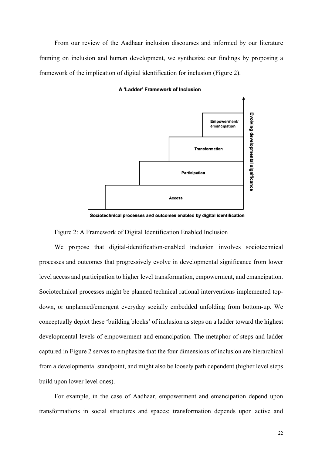From our review of the Aadhaar inclusion discourses and informed by our literature framing on inclusion and human development, we synthesize our findings by proposing a framework of the implication of digital identification for inclusion (Figure 2).



A 'Ladder' Framework of Inclusion

Sociotechnical processes and outcomes enabled by digital identification

Figure 2: A Framework of Digital Identification Enabled Inclusion

We propose that digital-identification-enabled inclusion involves sociotechnical processes and outcomes that progressively evolve in developmental significance from lower level access and participation to higher level transformation, empowerment, and emancipation. Sociotechnical processes might be planned technical rational interventions implemented topdown, or unplanned/emergent everyday socially embedded unfolding from bottom-up. We conceptually depict these 'building blocks' of inclusion as steps on a ladder toward the highest developmental levels of empowerment and emancipation. The metaphor of steps and ladder captured in Figure 2 serves to emphasize that the four dimensions of inclusion are hierarchical from a developmental standpoint, and might also be loosely path dependent (higher level steps build upon lower level ones).

For example, in the case of Aadhaar, empowerment and emancipation depend upon transformations in social structures and spaces; transformation depends upon active and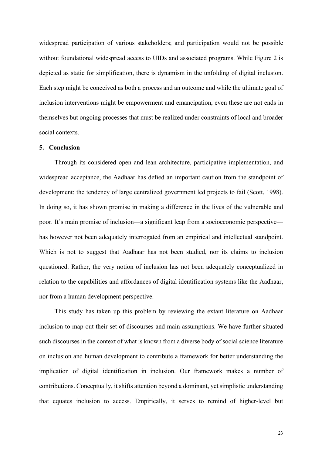widespread participation of various stakeholders; and participation would not be possible without foundational widespread access to UIDs and associated programs. While Figure 2 is depicted as static for simplification, there is dynamism in the unfolding of digital inclusion. Each step might be conceived as both a process and an outcome and while the ultimate goal of inclusion interventions might be empowerment and emancipation, even these are not ends in themselves but ongoing processes that must be realized under constraints of local and broader social contexts.

## **5. Conclusion**

Through its considered open and lean architecture, participative implementation, and widespread acceptance, the Aadhaar has defied an important caution from the standpoint of development: the tendency of large centralized government led projects to fail (Scott, 1998). In doing so, it has shown promise in making a difference in the lives of the vulnerable and poor. It's main promise of inclusion—a significant leap from a socioeconomic perspective has however not been adequately interrogated from an empirical and intellectual standpoint. Which is not to suggest that Aadhaar has not been studied, nor its claims to inclusion questioned. Rather, the very notion of inclusion has not been adequately conceptualized in relation to the capabilities and affordances of digital identification systems like the Aadhaar, nor from a human development perspective.

This study has taken up this problem by reviewing the extant literature on Aadhaar inclusion to map out their set of discourses and main assumptions. We have further situated such discourses in the context of what is known from a diverse body of social science literature on inclusion and human development to contribute a framework for better understanding the implication of digital identification in inclusion. Our framework makes a number of contributions. Conceptually, it shifts attention beyond a dominant, yet simplistic understanding that equates inclusion to access. Empirically, it serves to remind of higher-level but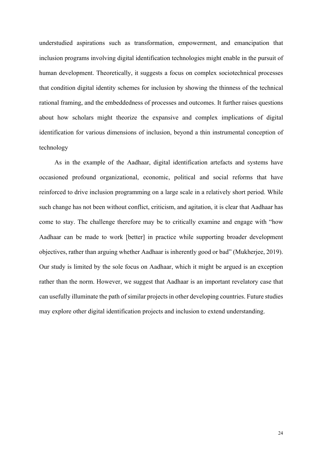understudied aspirations such as transformation, empowerment, and emancipation that inclusion programs involving digital identification technologies might enable in the pursuit of human development. Theoretically, it suggests a focus on complex sociotechnical processes that condition digital identity schemes for inclusion by showing the thinness of the technical rational framing, and the embeddedness of processes and outcomes. It further raises questions about how scholars might theorize the expansive and complex implications of digital identification for various dimensions of inclusion, beyond a thin instrumental conception of technology

As in the example of the Aadhaar, digital identification artefacts and systems have occasioned profound organizational, economic, political and social reforms that have reinforced to drive inclusion programming on a large scale in a relatively short period. While such change has not been without conflict, criticism, and agitation, it is clear that Aadhaar has come to stay. The challenge therefore may be to critically examine and engage with "how Aadhaar can be made to work [better] in practice while supporting broader development objectives, rather than arguing whether Aadhaar is inherently good or bad" (Mukherjee, 2019). Our study is limited by the sole focus on Aadhaar, which it might be argued is an exception rather than the norm. However, we suggest that Aadhaar is an important revelatory case that can usefully illuminate the path of similar projects in other developing countries. Future studies may explore other digital identification projects and inclusion to extend understanding.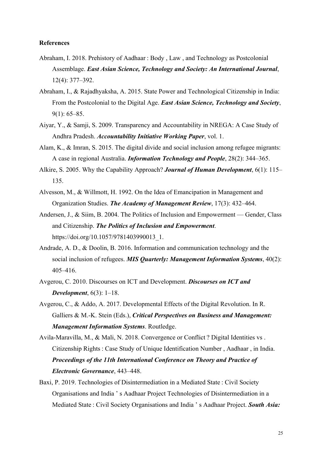## **References**

- Abraham, I. 2018. Prehistory of Aadhaar : Body , Law , and Technology as Postcolonial Assemblage. *East Asian Science, Technology and Society: An International Journal*, 12(4): 377–392.
- Abraham, I., & Rajadhyaksha, A. 2015. State Power and Technological Citizenship in India: From the Postcolonial to the Digital Age. *East Asian Science, Technology and Society*, 9(1): 65–85.
- Aiyar, Y., & Samji, S. 2009. Transparency and Accountability in NREGA: A Case Study of Andhra Pradesh. *Accountability Initiative Working Paper*, vol. 1.
- Alam, K., & Imran, S. 2015. The digital divide and social inclusion among refugee migrants: A case in regional Australia. *Information Technology and People*, 28(2): 344–365.
- Alkire, S. 2005. Why the Capability Approach? *Journal of Human Development*, 6(1): 115– 135.
- Alvesson, M., & Willmott, H. 1992. On the Idea of Emancipation in Management and Organization Studies. *The Academy of Management Review*, 17(3): 432–464.
- Andersen, J., & Siim, B. 2004. The Politics of Inclusion and Empowerment Gender, Class and Citizenship. *The Politics of Inclusion and Empowerment*. https://doi.org/10.1057/9781403990013\_1.
- Andrade, A. D., & Doolin, B. 2016. Information and communication technology and the social inclusion of refugees. *MIS Quarterly: Management Information Systems*, 40(2): 405–416.
- Avgerou, C. 2010. Discourses on ICT and Development. *Discourses on ICT and Development*, 6(3): 1–18.
- Avgerou, C., & Addo, A. 2017. Developmental Effects of the Digital Revolution. In R. Galliers & M.-K. Stein (Eds.), *Critical Perspectives on Business and Management: Management Information Systems*. Routledge.

Avila-Maravilla, M., & Mali, N. 2018. Convergence or Conflict ? Digital Identities vs . Citizenship Rights : Case Study of Unique Identification Number , Aadhaar , in India. *Proceedings of the 11th International Conference on Theory and Practice of Electronic Governance*, 443–448.

Baxi, P. 2019. Technologies of Disintermediation in a Mediated State : Civil Society Organisations and India ' s Aadhaar Project Technologies of Disintermediation in a Mediated State : Civil Society Organisations and India ' s Aadhaar Project. *South Asia:*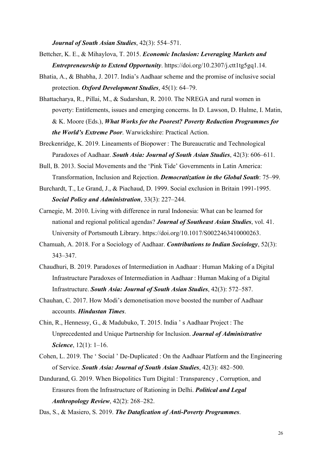*Journal of South Asian Studies*, 42(3): 554–571.

- Bettcher, K. E., & Mihaylova, T. 2015. *Economic Inclusion: Leveraging Markets and Entrepreneurship to Extend Opportunity*. https://doi.org/10.2307/j.ctt1tg5gq1.14.
- Bhatia, A., & Bhabha, J. 2017. India's Aadhaar scheme and the promise of inclusive social protection. *Oxford Development Studies*, 45(1): 64–79.
- Bhattacharya, R., Pillai, M., & Sudarshan, R. 2010. The NREGA and rural women in poverty: Entitlements, issues and emerging concerns. In D. Lawson, D. Hulme, I. Matin, & K. Moore (Eds.), *What Works for the Poorest? Poverty Reduction Programmes for the World's Extreme Poor*. Warwickshire: Practical Action.
- Breckenridge, K. 2019. Lineaments of Biopower : The Bureaucratic and Technological Paradoxes of Aadhaar. *South Asia: Journal of South Asian Studies*, 42(3): 606–611.
- Bull, B. 2013. Social Movements and the 'Pink Tide' Governments in Latin America: Transformation, Inclusion and Rejection. *Democratization in the Global South*: 75–99.
- Burchardt, T., Le Grand, J., & Piachaud, D. 1999. Social exclusion in Britain 1991-1995. *Social Policy and Administration*, 33(3): 227–244.
- Carnegie, M. 2010. Living with difference in rural Indonesia: What can be learned for national and regional political agendas? *Journal of Southeast Asian Studies*, vol. 41. University of Portsmouth Library. https://doi.org/10.1017/S0022463410000263.
- Chamuah, A. 2018. For a Sociology of Aadhaar. *Contributions to Indian Sociology*, 52(3): 343–347.
- Chaudhuri, B. 2019. Paradoxes of Intermediation in Aadhaar : Human Making of a Digital Infrastructure Paradoxes of Intermediation in Aadhaar : Human Making of a Digital Infrastructure. *South Asia: Journal of South Asian Studies*, 42(3): 572–587.
- Chauhan, C. 2017. How Modi's demonetisation move boosted the number of Aadhaar accounts. *Hindustan Times*.
- Chin, R., Hennessy, G., & Madubuko, T. 2015. India ' s Aadhaar Project : The Unprecedented and Unique Partnership for Inclusion. *Journal of Administrative Science*, 12(1): 1–16.
- Cohen, L. 2019. The ' Social ' De-Duplicated : On the Aadhaar Platform and the Engineering of Service. *South Asia: Journal of South Asian Studies*, 42(3): 482–500.
- Dandurand, G. 2019. When Biopolitics Turn Digital : Transparency , Corruption, and Erasures from the Infrastructure of Rationing in Delhi. *Political and Legal Anthropology Review*, 42(2): 268–282.

Das, S., & Masiero, S. 2019. *The Datafication of Anti-Poverty Programmes*.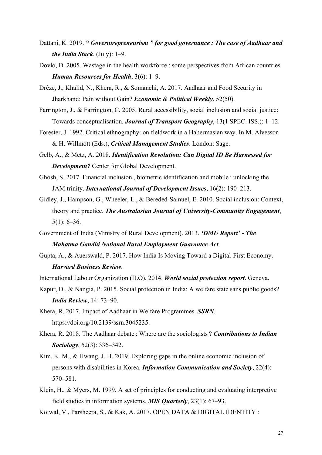- Dattani, K. 2019. *" Governtrepreneurism " for good governance : The case of Aadhaar and the India Stack*, (July): 1–9.
- Dovlo, D. 2005. Wastage in the health workforce : some perspectives from African countries. *Human Resources for Health*, 3(6): 1–9.
- Drèze, J., Khalid, N., Khera, R., & Somanchi, A. 2017. Aadhaar and Food Security in Jharkhand: Pain without Gain? *Economic & Political Weekly*, 52(50).
- Farrington, J., & Farrington, C. 2005. Rural accessibility, social inclusion and social justice: Towards conceptualisation. *Journal of Transport Geography*, 13(1 SPEC. ISS.): 1–12.
- Forester, J. 1992. Critical ethnography: on fieldwork in a Habermasian way. In M. Alvesson & H. Willmott (Eds.), *Critical Management Studies*. London: Sage.
- Gelb, A., & Metz, A. 2018. *Identification Revolution: Can Digital ID Be Harnessed for Development?* Center for Global Development.
- Ghosh, S. 2017. Financial inclusion , biometric identification and mobile : unlocking the JAM trinity. *International Journal of Development Issues*, 16(2): 190–213.
- Gidley, J., Hampson, G., Wheeler, L., & Bereded-Samuel, E. 2010. Social inclusion: Context, theory and practice. *The Australasian Journal of University-Community Engagement*, 5(1): 6–36.
- Government of India (Ministry of Rural Development). 2013. *'DMU Report' - The Mahatma Gandhi National Rural Employment Guarantee Act*.
- Gupta, A., & Auerswald, P. 2017. How India Is Moving Toward a Digital-First Economy. *Harvard Business Review*.
- International Labour Organization (ILO). 2014. *World social protection report*. Geneva.
- Kapur, D., & Nangia, P. 2015. Social protection in India: A welfare state sans public goods? *India Review*, 14: 73–90.
- Khera, R. 2017. Impact of Aadhaar in Welfare Programmes. *SSRN*. https://doi.org/10.2139/ssrn.3045235.
- Khera, R. 2018. The Aadhaar debate : Where are the sociologists ? *Contributions to Indian Sociology*, 52(3): 336–342.
- Kim, K. M., & Hwang, J. H. 2019. Exploring gaps in the online economic inclusion of persons with disabilities in Korea. *Information Communication and Society*, 22(4): 570–581.
- Klein, H., & Myers, M. 1999. A set of principles for conducting and evaluating interpretive field studies in information systems. *MIS Quarterly*, 23(1): 67–93.
- Kotwal, V., Parsheera, S., & Kak, A. 2017. OPEN DATA & DIGITAL IDENTITY :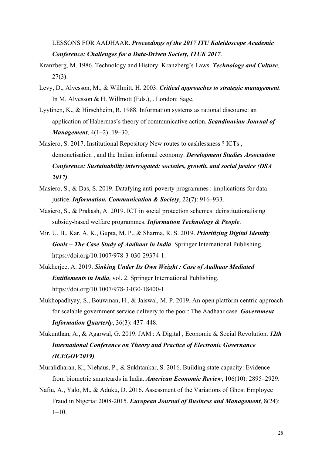LESSONS FOR AADHAAR. *Proceedings of the 2017 ITU Kaleidoscope Academic Conference: Challenges for a Data-Driven Society, ITUK 2017*.

- Kranzberg, M. 1986. Technology and History: Kranzberg's Laws. *Technology and Culture*,  $27(3)$ .
- Levy, D., Alvesson, M., & Willmitt, H. 2003. *Critical approaches to strategic management*. In M. Alvesson & H. Willmott (Eds.), . London: Sage.
- Lyytinen, K., & Hirschheim, R. 1988. Information systems as rational discourse: an application of Habermas's theory of communicative action. *Scandinavian Journal of Management*, 4(1–2): 19–30.
- Masiero, S. 2017. Institutional Repository New routes to cashlessness ? ICTs , demonetisation , and the Indian informal economy. *Development Studies Association Conference: Sustainability interrogated: societies, growth, and social justice (DSA 2017)*.
- Masiero, S., & Das, S. 2019. Datafying anti-poverty programmes : implications for data justice. *Information, Communication & Society*, 22(7): 916–933.
- Masiero, S., & Prakash, A. 2019. ICT in social protection schemes: deinstitutionalising subsidy-based welfare programmes. *Information Technology & People*.
- Mir, U. B., Kar, A. K., Gupta, M. P., & Sharma, R. S. 2019. *Prioritizing Digital Identity Goals – The Case Study of Aadhaar in India*. Springer International Publishing. https://doi.org/10.1007/978-3-030-29374-1.
- Mukherjee, A. 2019. *Sinking Under Its Own Weight : Case of Aadhaar Mediated Entitlements in India*, vol. 2. Springer International Publishing. https://doi.org/10.1007/978-3-030-18400-1.
- Mukhopadhyay, S., Bouwman, H., & Jaiswal, M. P. 2019. An open platform centric approach for scalable government service delivery to the poor: The Aadhaar case. *Government Information Quarterly*, 36(3): 437–448.
- Mukunthan, A., & Agarwal, G. 2019. JAM : A Digital , Economic & Social Revolution. *12th International Conference on Theory and Practice of Electronic Governance (ICEGOV2019)*.
- Muralidharan, K., Niehaus, P., & Sukhtankar, S. 2016. Building state capacity: Evidence from biometric smartcards in India. *American Economic Review*, 106(10): 2895–2929.
- Nafiu, A., Yalo, M., & Aduku, D. 2016. Assessment of the Variations of Ghost Employee Fraud in Nigeria: 2008-2015. *European Journal of Business and Management*, 8(24):  $1-10.$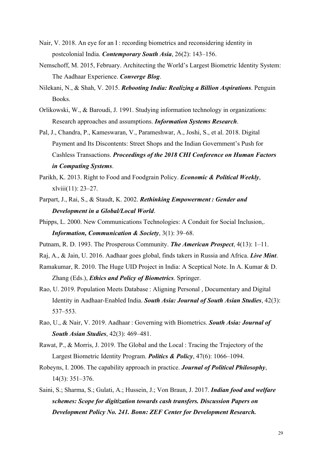- Nair, V. 2018. An eye for an I : recording biometrics and reconsidering identity in postcolonial India. *Contemporary South Asia*, 26(2): 143–156.
- Nemschoff, M. 2015, February. Architecting the World's Largest Biometric Identity System: The Aadhaar Experience. *Converge Blog*.
- Nilekani, N., & Shah, V. 2015. *Rebooting India: Realizing a Billion Aspirations*. Penguin Books.
- Orlikowski, W., & Baroudi, J. 1991. Studying information technology in organizations: Research approaches and assumptions. *Information Systems Research*.
- Pal, J., Chandra, P., Kameswaran, V., Parameshwar, A., Joshi, S., et al. 2018. Digital Payment and Its Discontents: Street Shops and the Indian Government's Push for Cashless Transactions. *Proceedings of the 2018 CHI Conference on Human Factors in Computing Systems*.
- Parikh, K. 2013. Right to Food and Foodgrain Policy. *Economic & Political Weekly*, xlviii(11): 23–27.
- Parpart, J., Rai, S., & Staudt, K. 2002. *Rethinking Empowerment : Gender and Development in a Global/Local World*.
- Phipps, L. 2000. New Communications Technologies: A Conduit for Social Inclusion,. *Information, Communication & Society*, 3(1): 39–68.
- Putnam, R. D. 1993. The Prosperous Community. *The American Prospect*, 4(13): 1–11.
- Raj, A., & Jain, U. 2016. Aadhaar goes global, finds takers in Russia and Africa. *Live Mint*.
- Ramakumar, R. 2010. The Huge UID Project in India: A Sceptical Note. In A. Kumar & D. Zhang (Eds.), *Ethics and Policy of Biometrics*. Springer.
- Rao, U. 2019. Population Meets Database : Aligning Personal , Documentary and Digital Identity in Aadhaar-Enabled India. *South Asia: Journal of South Asian Studies*, 42(3): 537–553.
- Rao, U., & Nair, V. 2019. Aadhaar : Governing with Biometrics. *South Asia: Journal of South Asian Studies*, 42(3): 469–481.
- Rawat, P., & Morris, J. 2019. The Global and the Local : Tracing the Trajectory of the Largest Biometric Identity Program. *Politics & Policy*, 47(6): 1066–1094.
- Robeyns, I. 2006. The capability approach in practice. *Journal of Political Philosophy*, 14(3): 351–376.
- Saini, S.; Sharma, S.; Gulati, A.; Hussein, J.; Von Braun, J. 2017. *Indian food and welfare schemes: Scope for digitization towards cash transfers. Discussion Papers on Development Policy No. 241. Bonn: ZEF Center for Development Research.*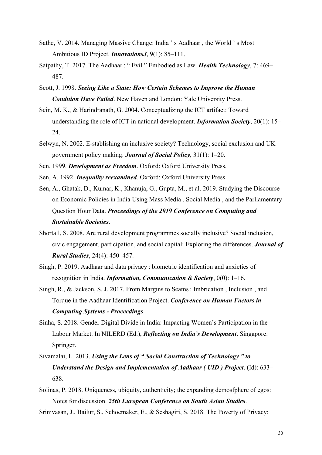- Sathe, V. 2014. Managing Massive Change: India ' s Aadhaar , the World ' s Most Ambitious ID Project. *InnovationsJ*, 9(1): 85–111.
- Satpathy, T. 2017. The Aadhaar : " Evil " Embodied as Law. *Health Technology*, 7: 469– 487.
- Scott, J. 1998. *Seeing Like a State: How Certain Schemes to Improve the Human Condition Have Failed*. New Haven and London: Yale University Press.
- Sein, M. K., & Harindranath, G. 2004. Conceptualizing the ICT artifact: Toward understanding the role of ICT in national development. *Information Society*, 20(1): 15– 24.
- Selwyn, N. 2002. E-stablishing an inclusive society? Technology, social exclusion and UK government policy making. *Journal of Social Policy*, 31(1): 1–20.
- Sen. 1999. *Development as Freedom*. Oxford: Oxford University Press.
- Sen, A. 1992. *Inequality reexamined*. Oxford: Oxford University Press.
- Sen, A., Ghatak, D., Kumar, K., Khanuja, G., Gupta, M., et al. 2019. Studying the Discourse on Economic Policies in India Using Mass Media , Social Media , and the Parliamentary Question Hour Data. *Proceedings of the 2019 Conference on Computing and Sustainable Societies*.
- Shortall, S. 2008. Are rural development programmes socially inclusive? Social inclusion, civic engagement, participation, and social capital: Exploring the differences. *Journal of Rural Studies*, 24(4): 450–457.
- Singh, P. 2019. Aadhaar and data privacy : biometric identification and anxieties of recognition in India. *Information, Communication & Society*, 0(0): 1–16.
- Singh, R., & Jackson, S. J. 2017. From Margins to Seams : Imbrication , Inclusion , and Torque in the Aadhaar Identification Project. *Conference on Human Factors in Computing Systems - Proceedings*.
- Sinha, S. 2018. Gender Digital Divide in India: Impacting Women's Participation in the Labour Market. In NILERD (Ed.), *Reflecting on India's Development*. Singapore: Springer.
- Sivamalai, L. 2013. *Using the Lens of " Social Construction of Technology " to Understand the Design and Implementation of Aadhaar ( UID ) Project*, (Id): 633– 638.
- Solinas, P. 2018. Uniqueness, ubiquity, authenticity; the expanding demosfphere of egos: Notes for discussion. *25th European Conference on South Asian Studies*.

Srinivasan, J., Bailur, S., Schoemaker, E., & Seshagiri, S. 2018. The Poverty of Privacy: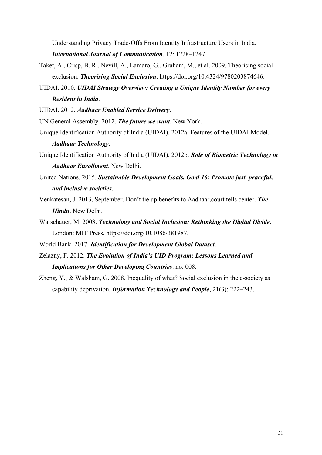Understanding Privacy Trade-Offs From Identity Infrastructure Users in India.

*International Journal of Communication*, 12: 1228–1247.

- Taket, A., Crisp, B. R., Nevill, A., Lamaro, G., Graham, M., et al. 2009. Theorising social exclusion. *Theorising Social Exclusion*. https://doi.org/10.4324/9780203874646.
- UIDAI. 2010. *UIDAI Strategy Overview: Creating a Unique Identity Number for every Resident in India*.

UIDAI. 2012. *Aadhaar Enabled Service Delivery*.

UN General Assembly. 2012. *The future we want*. New York.

- Unique Identification Authority of India (UIDAI). 2012a. Features of the UIDAI Model. *Aadhaar Technology*.
- Unique Identification Authority of India (UIDAI). 2012b. *Role of Biometric Technology in Aadhaar Enrollment*. New Delhi.
- United Nations. 2015. *Sustainable Development Goals. Goal 16: Promote just, peaceful, and inclusive societies*.
- Venkatesan, J. 2013, September. Don't tie up benefits to Aadhaar,court tells center. *The Hindu*. New Delhi.
- Warschauer, M. 2003. *Technology and Social Inclusion: Rethinking the Digital Divide*. London: MIT Press. https://doi.org/10.1086/381987.
- World Bank. 2017. *Identification for Development Global Dataset*.
- Zelazny, F. 2012. *The Evolution of India's UID Program: Lessons Learned and Implications for Other Developing Countries*. no. 008.
- Zheng, Y., & Walsham, G. 2008. Inequality of what? Social exclusion in the e-society as capability deprivation. *Information Technology and People*, 21(3): 222–243.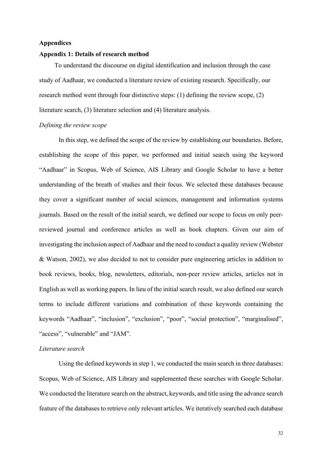## **Appendices**

#### **Appendix 1: Details of research method**

To understand the discourse on digital identification and inclusion through the case study of Aadhaar, we conducted a literature review of existing research. Specifically, our research method went through four distinctive steps: (1) defining the review scope, (2) literature search, (3) literature selection and (4) literature analysis.

### *Defining the review scope*

In this step, we defined the scope of the review by establishing our boundaries. Before, establishing the scope of this paper, we performed and initial search using the keyword "Aadhaar" in Scopus, Web of Science, AIS Library and Google Scholar to have a better understanding of the breath of studies and their focus. We selected these databases because they cover a significant number of social sciences, management and information systems journals. Based on the result of the initial search, we defined our scope to focus on only peerreviewed journal and conference articles as well as book chapters. Given our aim of investigating the inclusion aspect of Aadhaar and the need to conduct a quality review (Webster & Watson, 2002), we also decided to not to consider pure engineering articles in addition to book reviews, books, blog, newsletters, editorials, non-peer review articles, articles not in English as well as working papers. In lieu of the initial search result, we also defined our search terms to include different variations and combination of these keywords containing the keywords "Aadhaar", "inclusion", "exclusion", "poor", "social protection", "marginalised", "access", "vulnerable" and "JAM".

#### *Literature search*

Using the defined keywords in step 1, we conducted the main search in three databases: Scopus, Web of Science, AIS Library and supplemented these searches with Google Scholar. We conducted the literature search on the abstract, keywords, and title using the advance search feature of the databases to retrieve only relevant articles. We iteratively searched each database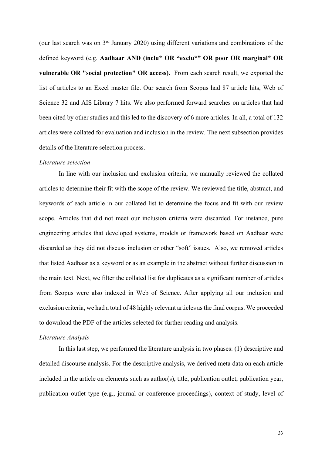(our last search was on 3rd January 2020) using different variations and combinations of the defined keyword (e.g. **Aadhaar AND (inclu\* OR "exclu\*" OR poor OR marginal\* OR vulnerable OR "social protection" OR access).** From each search result, we exported the list of articles to an Excel master file. Our search from Scopus had 87 article hits, Web of Science 32 and AIS Library 7 hits. We also performed forward searches on articles that had been cited by other studies and this led to the discovery of 6 more articles. In all, a total of 132 articles were collated for evaluation and inclusion in the review. The next subsection provides details of the literature selection process.

## *Literature selection*

In line with our inclusion and exclusion criteria, we manually reviewed the collated articles to determine their fit with the scope of the review. We reviewed the title, abstract, and keywords of each article in our collated list to determine the focus and fit with our review scope. Articles that did not meet our inclusion criteria were discarded. For instance, pure engineering articles that developed systems, models or framework based on Aadhaar were discarded as they did not discuss inclusion or other "soft" issues. Also, we removed articles that listed Aadhaar as a keyword or as an example in the abstract without further discussion in the main text. Next, we filter the collated list for duplicates as a significant number of articles from Scopus were also indexed in Web of Science. After applying all our inclusion and exclusion criteria, we had a total of 48 highly relevant articles as the final corpus. We proceeded to download the PDF of the articles selected for further reading and analysis.

#### *Literature Analysis*

In this last step, we performed the literature analysis in two phases: (1) descriptive and detailed discourse analysis. For the descriptive analysis, we derived meta data on each article included in the article on elements such as author(s), title, publication outlet, publication year, publication outlet type (e.g., journal or conference proceedings), context of study, level of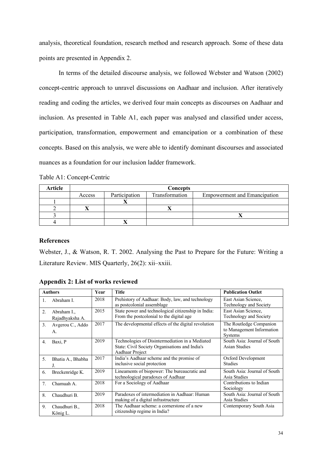analysis, theoretical foundation, research method and research approach. Some of these data points are presented in Appendix 2.

In terms of the detailed discourse analysis, we followed Webster and Watson (2002) concept-centric approach to unravel discussions on Aadhaar and inclusion. After iteratively reading and coding the articles, we derived four main concepts as discourses on Aadhaar and inclusion. As presented in Table A1, each paper was analysed and classified under access, participation, transformation, empowerment and emancipation or a combination of these concepts. Based on this analysis, we were able to identify dominant discourses and associated nuances as a foundation for our inclusion ladder framework.

| Table A1: Concept-Centric |  |  |
|---------------------------|--|--|
|---------------------------|--|--|

| <b>Article</b> | <b>Concepts</b> |               |                |                                     |
|----------------|-----------------|---------------|----------------|-------------------------------------|
|                | Access          | Participation | Transformation | <b>Empowerment and Emancipation</b> |
|                |                 |               |                |                                     |
|                |                 |               |                |                                     |
|                |                 |               |                |                                     |
|                |                 |               |                |                                     |

# **References**

Webster, J., & Watson, R. T. 2002. Analysing the Past to Prepare for the Future: Writing a Literature Review. MIS Quarterly, 26(2): xii–xxiii.

| <b>Authors</b> |                                | Year | <b>Title</b>                                                                                                         | <b>Publication Outlet</b>                                              |
|----------------|--------------------------------|------|----------------------------------------------------------------------------------------------------------------------|------------------------------------------------------------------------|
| $\mathbf{1}$ . | Abraham I.                     | 2018 | Prehistory of Aadhaar: Body, law, and technology<br>as postcolonial assemblage                                       | East Asian Science,<br>Technology and Society                          |
| 2.             | Abraham I.,<br>Rajadhyaksha A. | 2015 | State power and technological citizenship in India:<br>From the postcolonial to the digital age                      | East Asian Science,<br>Technology and Society                          |
| 3.             | Avgerou C., Addo<br>A.         | 2017 | The developmental effects of the digital revolution                                                                  | The Routledge Companion<br>to Management Information<br><b>Systems</b> |
| 4.             | Baxi, P                        | 2019 | Technologies of Disintermediation in a Mediated<br>State: Civil Society Organisations and India's<br>Aadhaar Project | South Asia: Journal of South<br><b>Asian Studies</b>                   |
| 5.             | Bhatia A., Bhabha<br>J.        | 2017 | India's Aadhaar scheme and the promise of<br>inclusive social protection                                             | Oxford Development<br><b>Studies</b>                                   |
| 6.             | Breckenridge K.                | 2019 | Lineaments of biopower: The bureaucratic and<br>technological paradoxes of Aadhaar                                   | South Asia: Journal of South<br>Asia Studies                           |
| 7.             | Chamuah A.                     | 2018 | For a Sociology of Aadhaar                                                                                           | Contributions to Indian<br>Sociology                                   |
| 8.             | Chaudhuri B.                   | 2019 | Paradoxes of intermediation in Aadhaar: Human<br>making of a digital infrastructure                                  | South Asia: Journal of South<br>Asia Studies                           |
| 9.             | Chaudhuri B.,<br>König L.      | 2018 | The Aadhaar scheme: a cornerstone of a new<br>citizenship regime in India?                                           | Contemporary South Asia                                                |

**Appendix 2: List of works reviewed**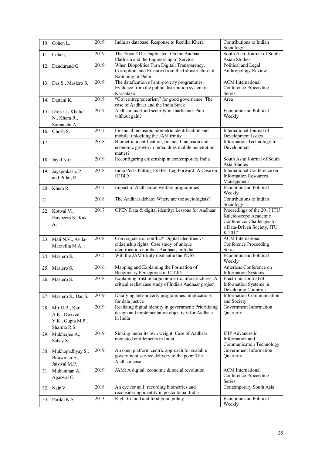|     | 10. Cohen L.                                                           | 2019 | India as database: Response to Reetika Khera                                                                                            | Contributions to Indian<br>Sociology                                                                                       |
|-----|------------------------------------------------------------------------|------|-----------------------------------------------------------------------------------------------------------------------------------------|----------------------------------------------------------------------------------------------------------------------------|
|     | 11. Cohen, L                                                           | 2019 | The 'Social' De-Duplicated: On the Aadhaar                                                                                              | South Asia: Journal of South                                                                                               |
|     |                                                                        |      | Platform and the Engineering of Service                                                                                                 | Asian Studies                                                                                                              |
|     | 12. Dandurand G.                                                       | 2019 | When Biopolitics Turn Digital: Transparency,<br>Corruption, and Erasures from the Infrastructure of<br>Rationing in Delhi               | Political and Legal<br>Anthropology Review                                                                                 |
|     | 13. Das S., Masiero S.                                                 | 2019 | The datafication of anti-poverty programmes:<br>Evidence from the public distribution system in<br>Karnataka                            | <b>ACM</b> International<br><b>Conference Proceeding</b><br>Series                                                         |
|     | 14. Dattani K.                                                         | 2019 | "Governtrepreneurism" for good governance: The<br>case of Aadhaar and the India Stack                                                   | Area                                                                                                                       |
|     | 15. Drèze J., Khalid<br>N., Khera R.,<br>Somanchi A.                   | 2017 | Aadhaar and food security in Jharkhand: Pain<br>without gain?                                                                           | Economic and Political<br>Weekly                                                                                           |
|     | 16. Ghosh S.                                                           | 2017 | Financial inclusion, biometric identification and<br>mobile: unlocking the JAM trinity                                                  | International Journal of<br>Development Issues                                                                             |
| 17. |                                                                        | 2018 | Biometric identification, financial inclusion and<br>economic growth in India: does mobile penetration<br>matter?                       | Information Technology for<br>Development                                                                                  |
|     | 18. Jayal N.G.                                                         | 2019 | Reconfiguring citizenship in contemporary India                                                                                         | South Asia: Journal of South<br>Asia Studies                                                                               |
|     | 19. Jayaprakash, P<br>and Pillai, R                                    | 2018 | India Posts Putting Its Best Leg Forward: A Case on<br>ICT4D                                                                            | International Conference on<br><b>Information Resources</b><br>Management                                                  |
|     | 20. Khera R.                                                           | 2017 | Impact of Aadhaar on welfare programmes                                                                                                 | Economic and Political<br>Weekly                                                                                           |
| 21. |                                                                        | 2018 | The Aadhaar debate: Where are the sociologists?                                                                                         | Contributions to Indian<br>Sociology                                                                                       |
|     | 22. Kotwal V.,<br>Parsheera S., Kak<br>А.                              | 2017 | OPEN Data & digital identity: Lessons for Aadhaar                                                                                       | Proceedings of the 2017 ITU<br>Kaleidoscope Academic<br>Conference: Challenges for<br>a Data-Driven Society, ITU<br>K 2017 |
|     | 23. Mali N.V., Avila-<br>Maravilla M.A.                                | 2018 | Convergence or conflict? Digital identities vs.<br>citizenship rights: Case study of unique<br>identification number, Aadhaar, in India | <b>ACM</b> International<br><b>Conference Proceeding</b><br>Series                                                         |
|     | 24. Masiero S.                                                         | 2015 | Will the JAM trinity dismantle the PDS?                                                                                                 | Economic and Political<br>Weekly                                                                                           |
|     | 25. Masiero S.                                                         | 2016 | Mapping and Explaining the Formation of<br>Beneficiary Perceptions in ICT4D                                                             | Americas Conference on<br>Information Systems,                                                                             |
|     | 26. Masiero S.                                                         | 2018 | Explaining trust in large biometric infrastructures: A<br>critical realist case study of India's Aadhaar project                        | Electronic Journal of<br>Information Systems in<br>Developing Countries                                                    |
|     | 27. Masiero S., Das S.                                                 | 2019 | Datafying anti-poverty programmes: implications<br>for data justice                                                                     | <b>Information Communication</b><br>and Society                                                                            |
|     | 28. Mir U.B., Kar<br>A.K., Dwivedi<br>Y.K., Gupta M.P.,<br>Sharma R.S. | 2019 | Realizing digital identity in government: Prioritizing<br>design and implementation objectives for Aadhaar<br>in India                  | Government Information<br>Quarterly                                                                                        |
|     | 29. Mukherjee A.,<br>Sahay S.                                          | 2019 | Sinking under its own weight: Case of Aadhaar<br>mediated entitlements in India                                                         | IFIP Advances in<br>Information and<br>Communication Technology                                                            |
|     | 30. Mukhopadhyay S.,<br>Bouwman H.,<br>Jaiswal M.P.                    | 2019 | An open platform centric approach for scalable<br>government service delivery to the poor: The<br>Aadhaar case                          | Government Information<br>Quarterly                                                                                        |
|     | 31. Mukunthan A.,<br>Agarwal G.                                        | 2019 | JAM: A digital, economic & social revolution                                                                                            | <b>ACM</b> International<br><b>Conference Proceeding</b><br>Series                                                         |
|     | 32. Nair V.                                                            | 2018 | An eye for an I: recording biometrics and<br>reconsidering identity in postcolonial India                                               | Contemporary South Asia                                                                                                    |
|     | 33. Parikh K.S.                                                        | 2013 | Right to food and food grain policy                                                                                                     | Economic and Political<br>Weekly                                                                                           |